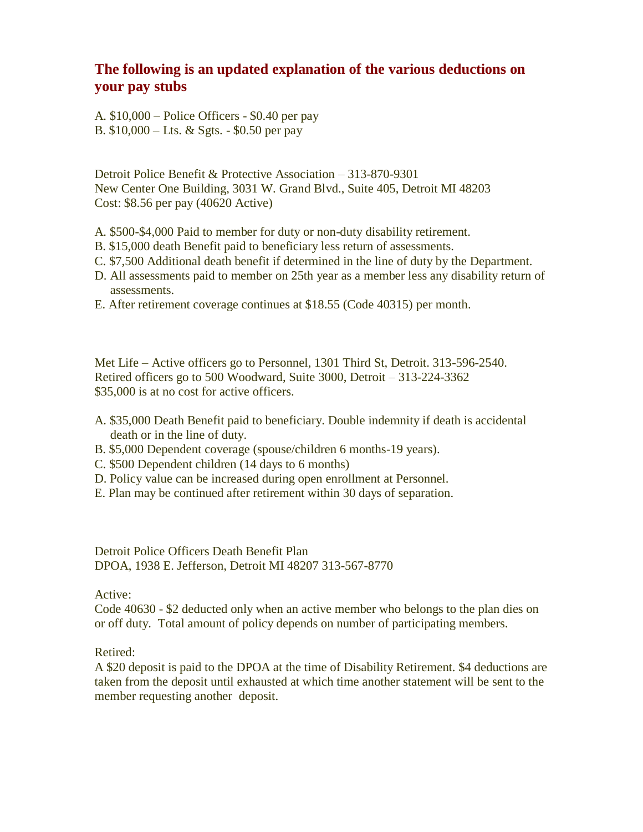## **The following is an updated explanation of the various deductions on your pay stubs**

A. \$10,000 – Police Officers - \$0.40 per pay B. \$10,000 – Lts. & Sgts. - \$0.50 per pay

Detroit Police Benefit & Protective Association – 313-870-9301 New Center One Building, 3031 W. Grand Blvd., Suite 405, Detroit MI 48203 Cost: \$8.56 per pay (40620 Active)

- A. \$500-\$4,000 Paid to member for duty or non-duty disability retirement.
- B. \$15,000 death Benefit paid to beneficiary less return of assessments.
- C. \$7,500 Additional death benefit if determined in the line of duty by the Department.
- D. All assessments paid to member on 25th year as a member less any disability return of assessments.
- E. After retirement coverage continues at \$18.55 (Code 40315) per month.

Met Life – Active officers go to Personnel, 1301 Third St, Detroit. 313-596-2540. Retired officers go to 500 Woodward, Suite 3000, Detroit – 313-224-3362 \$35,000 is at no cost for active officers.

- A. \$35,000 Death Benefit paid to beneficiary. Double indemnity if death is accidental death or in the line of duty.
- B. \$5,000 Dependent coverage (spouse/children 6 months-19 years).
- C. \$500 Dependent children (14 days to 6 months)
- D. Policy value can be increased during open enrollment at Personnel.
- E. Plan may be continued after retirement within 30 days of separation.

Detroit Police Officers Death Benefit Plan DPOA, 1938 E. Jefferson, Detroit MI 48207 313-567-8770

Active:

Code 40630 - \$2 deducted only when an active member who belongs to the plan dies on or off duty. Total amount of policy depends on number of participating members.

Retired:

A \$20 deposit is paid to the DPOA at the time of Disability Retirement. \$4 deductions are taken from the deposit until exhausted at which time another statement will be sent to the member requesting another deposit.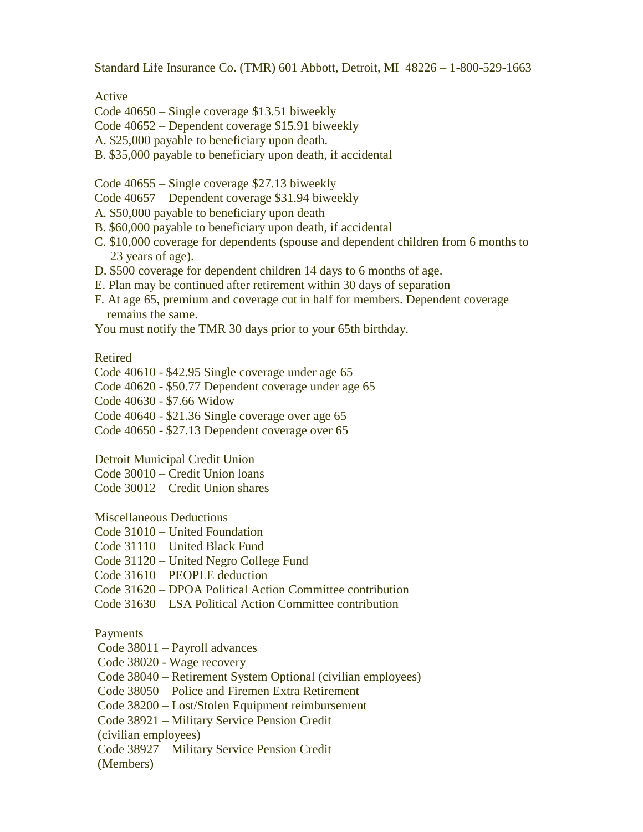Standard Life Insurance Co. (TMR) 601 Abbott, Detroit, MI 48226 – 1-800-529-1663

Active

Code 40650 – Single coverage \$13.51 biweekly

Code 40652 – Dependent coverage \$15.91 biweekly

A. \$25,000 payable to beneficiary upon death.

B. \$35,000 payable to beneficiary upon death, if accidental

Code 40655 – Single coverage \$27.13 biweekly

- Code 40657 Dependent coverage \$31.94 biweekly
- A. \$50,000 payable to beneficiary upon death
- B. \$60,000 payable to beneficiary upon death, if accidental
- C. \$10,000 coverage for dependents (spouse and dependent children from 6 months to 23 years of age).
- D. \$500 coverage for dependent children 14 days to 6 months of age.
- E. Plan may be continued after retirement within 30 days of separation
- F. At age 65, premium and coverage cut in half for members. Dependent coverage remains the same.

You must notify the TMR 30 days prior to your 65th birthday.

## Retired

Code 40610 - \$42.95 Single coverage under age 65

Code 40620 - \$50.77 Dependent coverage under age 65

Code 40630 - \$7.66 Widow

Code 40640 - \$21.36 Single coverage over age 65

Code 40650 - \$27.13 Dependent coverage over 65

Detroit Municipal Credit Union

Code 30010 – Credit Union loans

Code 30012 – Credit Union shares

Miscellaneous Deductions

Code 31010 – United Foundation

Code 31110 – United Black Fund

Code 31120 – United Negro College Fund

Code 31610 – PEOPLE deduction

Code 31620 – DPOA Political Action Committee contribution

Code 31630 – LSA Political Action Committee contribution

## Payments

Code 38011 – Payroll advances

Code 38020 - Wage recovery

Code 38040 – Retirement System Optional (civilian employees)

Code 38050 – Police and Firemen Extra Retirement

Code 38200 – Lost/Stolen Equipment reimbursement

Code 38921 – Military Service Pension Credit

(civilian employees)

Code 38927 – Military Service Pension Credit

(Members)